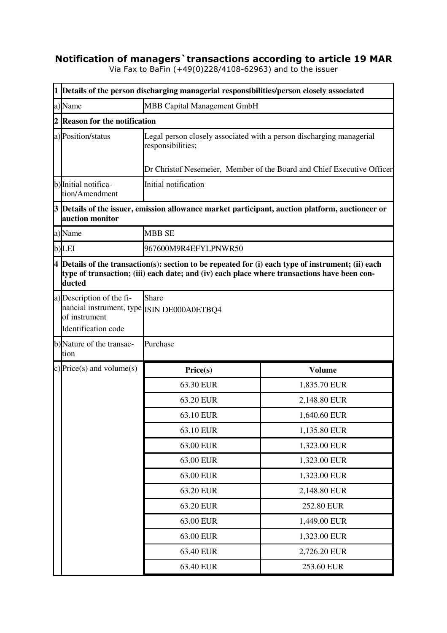## **Notification of managers`transactions according to article 19 MAR**

Via Fax to BaFin (+49(0)228/4108-62963) and to the issuer

|  | 1 Details of the person discharging managerial responsibilities/person closely associated                                                                                                                     |                                                                                                                                                                     |               |  |  |
|--|---------------------------------------------------------------------------------------------------------------------------------------------------------------------------------------------------------------|---------------------------------------------------------------------------------------------------------------------------------------------------------------------|---------------|--|--|
|  | a)Name                                                                                                                                                                                                        | MBB Capital Management GmbH                                                                                                                                         |               |  |  |
|  | <b>Reason for the notification</b>                                                                                                                                                                            |                                                                                                                                                                     |               |  |  |
|  | a) Position/status                                                                                                                                                                                            | Legal person closely associated with a person discharging managerial<br>responsibilities;<br>Dr Christof Nesemeier, Member of the Board and Chief Executive Officer |               |  |  |
|  | b) Initial notifica-<br>tion/Amendment                                                                                                                                                                        | Initial notification                                                                                                                                                |               |  |  |
|  | auction monitor                                                                                                                                                                                               | 3 Details of the issuer, emission allowance market participant, auction platform, auctioneer or                                                                     |               |  |  |
|  | a)Name                                                                                                                                                                                                        | <b>MBB SE</b>                                                                                                                                                       |               |  |  |
|  | b)LEI                                                                                                                                                                                                         | 967600M9R4EFYLPNWR50                                                                                                                                                |               |  |  |
|  | $4$ Details of the transaction(s): section to be repeated for (i) each type of instrument; (ii) each<br>type of transaction; (iii) each date; and (iv) each place where transactions have been con-<br>ducted |                                                                                                                                                                     |               |  |  |
|  | a) Description of the fi-<br>nancial instrument, type ISIN DE000A0ETBQ4<br>of instrument<br>Identification code                                                                                               | Share                                                                                                                                                               |               |  |  |
|  | b)Nature of the transac-<br>tion                                                                                                                                                                              | Purchase                                                                                                                                                            |               |  |  |
|  | c) Price(s) and volume(s)                                                                                                                                                                                     | Price(s)                                                                                                                                                            | <b>Volume</b> |  |  |
|  |                                                                                                                                                                                                               | 63.30 EUR                                                                                                                                                           | 1,835.70 EUR  |  |  |
|  |                                                                                                                                                                                                               | 63.20 EUR                                                                                                                                                           | 2,148.80 EUR  |  |  |
|  |                                                                                                                                                                                                               | 63.10 EUR                                                                                                                                                           | 1,640.60 EUR  |  |  |
|  |                                                                                                                                                                                                               | 63.10 EUR                                                                                                                                                           | 1,135.80 EUR  |  |  |
|  |                                                                                                                                                                                                               | 63.00 EUR                                                                                                                                                           | 1,323.00 EUR  |  |  |
|  |                                                                                                                                                                                                               | 63.00 EUR                                                                                                                                                           | 1,323.00 EUR  |  |  |
|  |                                                                                                                                                                                                               | 63.00 EUR                                                                                                                                                           | 1,323.00 EUR  |  |  |
|  |                                                                                                                                                                                                               | 63.20 EUR                                                                                                                                                           | 2,148.80 EUR  |  |  |
|  |                                                                                                                                                                                                               | 63.20 EUR                                                                                                                                                           | 252.80 EUR    |  |  |
|  |                                                                                                                                                                                                               | 63.00 EUR                                                                                                                                                           | 1,449.00 EUR  |  |  |
|  |                                                                                                                                                                                                               | 63.00 EUR                                                                                                                                                           | 1,323.00 EUR  |  |  |
|  |                                                                                                                                                                                                               | 63.40 EUR                                                                                                                                                           | 2,726.20 EUR  |  |  |
|  |                                                                                                                                                                                                               | 63.40 EUR                                                                                                                                                           | 253.60 EUR    |  |  |